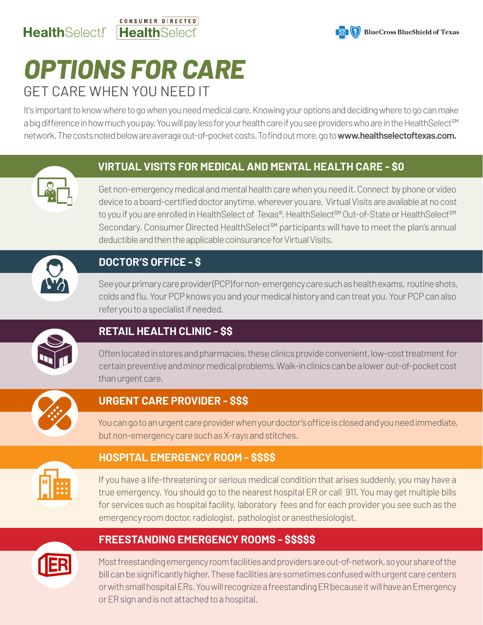### CONSUMER DIRECTED HealthSelect! HealthSelect



# *OPTIONS FOR CARE* GET CARE WHEN YOU NEED IT

It's important to know where to go when you need medical care. Knowing your options and deciding where to go can make a big difference in how much you pay. You will pay less for your health care if you see providers who are in the HealthSelect<sup>sM</sup> network. The costs noted below are average out-of-pocket costs. To find out more, go to **www.healthselectoftexas.com.**

# **VIRTUAL VISITS FOR MEDICAL AND MENTAL HEALTH CARE - \$0**



Get non-emergency medical and mental health care when you need it. Connect by phone or video device to a board-certified doctor anytime, wherever you are. Virtual Visits are available at no cost to you if you are enrolled in HealthSelect of Texas®, HealthSelect<sup>SM</sup> Out-of-State or HealthSelect<sup>SM</sup> Secondary. Consumer Directed HealthSelect<sup>SM</sup> participants will have to meet the plan's annual deductible and then the applicable coinsurance for Virtual Visits.

# **DOCTOR'S OFFICE - \$**

See your primary care provider (PCP) for non-emergency care such as health exams, routine shots, colds and flu. Your PCP knows you and your medical history and can treat you. Your PCP can also refer you to a specialist if needed.



# **RETAIL HEALTH CLINIC - \$\$**

Often located in stores and pharmacies, these clinics provide convenient, low-cost treatment for certain preventive and minor medical problems. Walk-in clinics can be a lower out-of-pocket cost than urgent care.



# **URGENT CARE PROVIDER - \$\$\$**

You can go to an urgent care provider when your doctor's office is closed and you need immediate, but non-emergency care such as X-rays and stitches.



### **HOSPITAL EMERGENCY ROOM - \$\$\$\$**

If you have a life-threatening or serious medical condition that arises suddenly, you may have a true emergency. You should go to the nearest hospital ER or call 911. You may get multiple bills for services such as hospital facility, laboratory fees and for each provider you see such as the emergency room doctor, radiologist, pathologist or anesthesiologist.

## **FREESTANDING EMERGENCY ROOMS - \$\$\$\$\$**

Most freestanding emergency room facilities and providers are out-of-network, so your share of the bill can be significantly higher. These facilities are sometimes confused with urgent care centers or with small hospital ERs. You will recognize a freestanding ER because it will have an Emergency or ER sign and is not attached to a hospital.